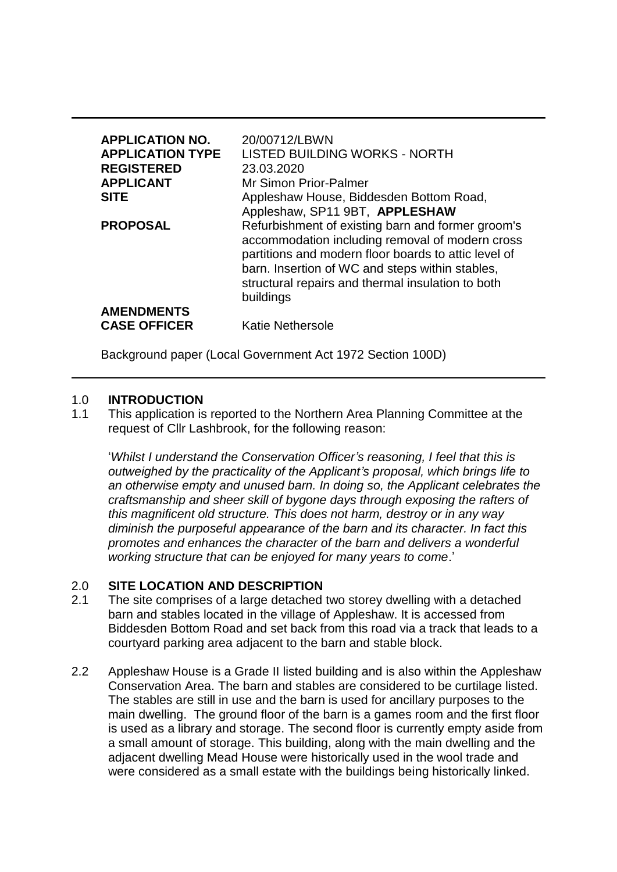| <b>APPLICATION NO.</b><br><b>APPLICATION TYPE</b><br><b>REGISTERED</b><br><b>APPLICANT</b><br><b>SITE</b> | 20/00712/LBWN<br>LISTED BUILDING WORKS - NORTH<br>23.03.2020<br>Mr Simon Prior-Palmer<br>Appleshaw House, Biddesden Bottom Road,<br>Appleshaw, SP11 9BT, APPLESHAW                                                                                                                |
|-----------------------------------------------------------------------------------------------------------|-----------------------------------------------------------------------------------------------------------------------------------------------------------------------------------------------------------------------------------------------------------------------------------|
| <b>PROPOSAL</b>                                                                                           | Refurbishment of existing barn and former groom's<br>accommodation including removal of modern cross<br>partitions and modern floor boards to attic level of<br>barn. Insertion of WC and steps within stables,<br>structural repairs and thermal insulation to both<br>buildings |
| <b>AMENDMENTS</b><br><b>CASE OFFICER</b>                                                                  | <b>Katie Nethersole</b>                                                                                                                                                                                                                                                           |

Background paper (Local Government Act 1972 Section 100D)

#### 1.0 **INTRODUCTION**

1.1 This application is reported to the Northern Area Planning Committee at the request of Cllr Lashbrook, for the following reason:

'*Whilst I understand the Conservation Officer's reasoning, I feel that this is outweighed by the practicality of the Applicant's proposal, which brings life to an otherwise empty and unused barn. In doing so, the Applicant celebrates the craftsmanship and sheer skill of bygone days through exposing the rafters of this magnificent old structure. This does not harm, destroy or in any way diminish the purposeful appearance of the barn and its character. In fact this promotes and enhances the character of the barn and delivers a wonderful working structure that can be enjoyed for many years to come*.'

### 2.0 **SITE LOCATION AND DESCRIPTION**

- 2.1 The site comprises of a large detached two storey dwelling with a detached barn and stables located in the village of Appleshaw. It is accessed from Biddesden Bottom Road and set back from this road via a track that leads to a courtyard parking area adjacent to the barn and stable block.
- 2.2 Appleshaw House is a Grade II listed building and is also within the Appleshaw Conservation Area. The barn and stables are considered to be curtilage listed. The stables are still in use and the barn is used for ancillary purposes to the main dwelling. The ground floor of the barn is a games room and the first floor is used as a library and storage. The second floor is currently empty aside from a small amount of storage. This building, along with the main dwelling and the adjacent dwelling Mead House were historically used in the wool trade and were considered as a small estate with the buildings being historically linked.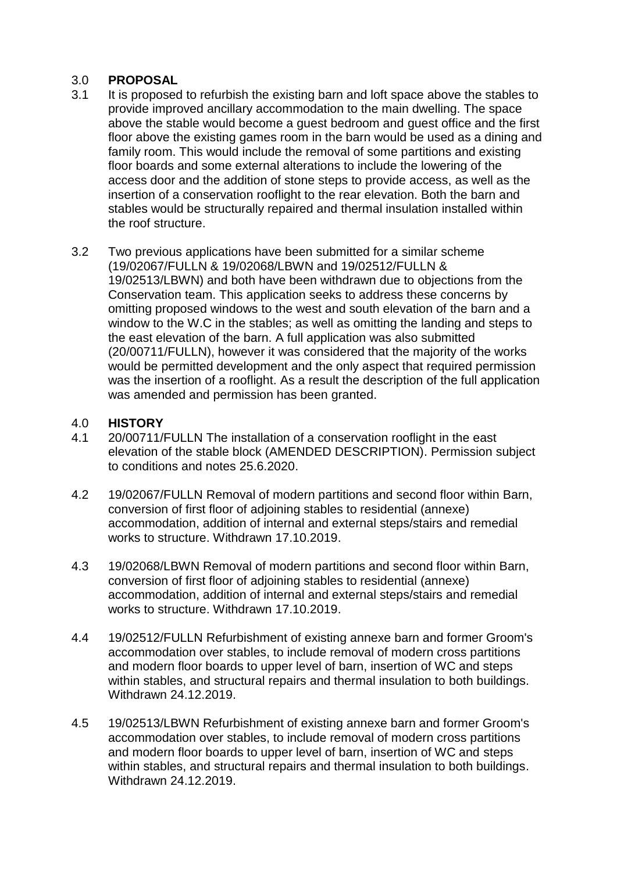## 3.0 **PROPOSAL**

- 3.1 It is proposed to refurbish the existing barn and loft space above the stables to provide improved ancillary accommodation to the main dwelling. The space above the stable would become a guest bedroom and guest office and the first floor above the existing games room in the barn would be used as a dining and family room. This would include the removal of some partitions and existing floor boards and some external alterations to include the lowering of the access door and the addition of stone steps to provide access, as well as the insertion of a conservation rooflight to the rear elevation. Both the barn and stables would be structurally repaired and thermal insulation installed within the roof structure.
- 3.2 Two previous applications have been submitted for a similar scheme (19/02067/FULLN & 19/02068/LBWN and 19/02512/FULLN & 19/02513/LBWN) and both have been withdrawn due to objections from the Conservation team. This application seeks to address these concerns by omitting proposed windows to the west and south elevation of the barn and a window to the W.C in the stables; as well as omitting the landing and steps to the east elevation of the barn. A full application was also submitted (20/00711/FULLN), however it was considered that the majority of the works would be permitted development and the only aspect that required permission was the insertion of a rooflight. As a result the description of the full application was amended and permission has been granted.

### 4.0 **HISTORY**

- 4.1 20/00711/FULLN The installation of a conservation rooflight in the east elevation of the stable block (AMENDED DESCRIPTION). Permission subject to conditions and notes 25.6.2020.
- 4.2 19/02067/FULLN Removal of modern partitions and second floor within Barn, conversion of first floor of adjoining stables to residential (annexe) accommodation, addition of internal and external steps/stairs and remedial works to structure. Withdrawn 17.10.2019.
- 4.3 19/02068/LBWN Removal of modern partitions and second floor within Barn, conversion of first floor of adjoining stables to residential (annexe) accommodation, addition of internal and external steps/stairs and remedial works to structure. Withdrawn 17.10.2019.
- 4.4 19/02512/FULLN Refurbishment of existing annexe barn and former Groom's accommodation over stables, to include removal of modern cross partitions and modern floor boards to upper level of barn, insertion of WC and steps within stables, and structural repairs and thermal insulation to both buildings. Withdrawn 24.12.2019.
- 4.5 19/02513/LBWN Refurbishment of existing annexe barn and former Groom's accommodation over stables, to include removal of modern cross partitions and modern floor boards to upper level of barn, insertion of WC and steps within stables, and structural repairs and thermal insulation to both buildings. Withdrawn 24.12.2019.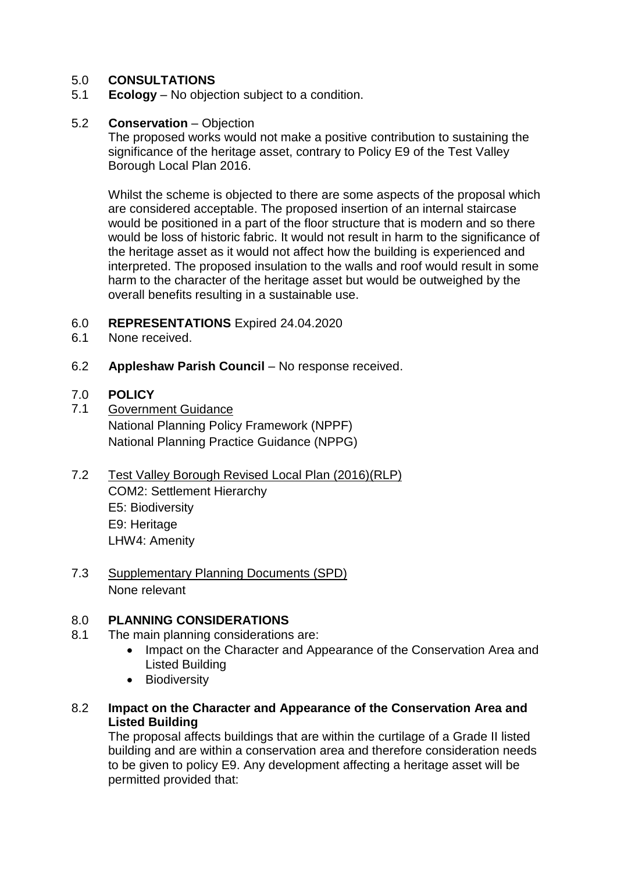## 5.0 **CONSULTATIONS**

5.1 **Ecology** – No objection subject to a condition.

## 5.2 **Conservation** – Objection

The proposed works would not make a positive contribution to sustaining the significance of the heritage asset, contrary to Policy E9 of the Test Valley Borough Local Plan 2016.

Whilst the scheme is objected to there are some aspects of the proposal which are considered acceptable. The proposed insertion of an internal staircase would be positioned in a part of the floor structure that is modern and so there would be loss of historic fabric. It would not result in harm to the significance of the heritage asset as it would not affect how the building is experienced and interpreted. The proposed insulation to the walls and roof would result in some harm to the character of the heritage asset but would be outweighed by the overall benefits resulting in a sustainable use.

- 6.0 **REPRESENTATIONS** Expired 24.04.2020
- 6.1 None received.
- 6.2 **Appleshaw Parish Council**  No response received.

## 7.0 **POLICY**

- 7.1 Government Guidance National Planning Policy Framework (NPPF) National Planning Practice Guidance (NPPG)
- 7.2 Test Valley Borough Revised Local Plan (2016)(RLP) COM2: Settlement Hierarchy E5: Biodiversity E9: Heritage LHW4: Amenity
- 7.3 Supplementary Planning Documents (SPD) None relevant

## 8.0 **PLANNING CONSIDERATIONS**

- 8.1 The main planning considerations are:
	- Impact on the Character and Appearance of the Conservation Area and Listed Building
	- Biodiversity
- 8.2 **Impact on the Character and Appearance of the Conservation Area and Listed Building**

The proposal affects buildings that are within the curtilage of a Grade II listed building and are within a conservation area and therefore consideration needs to be given to policy E9. Any development affecting a heritage asset will be permitted provided that: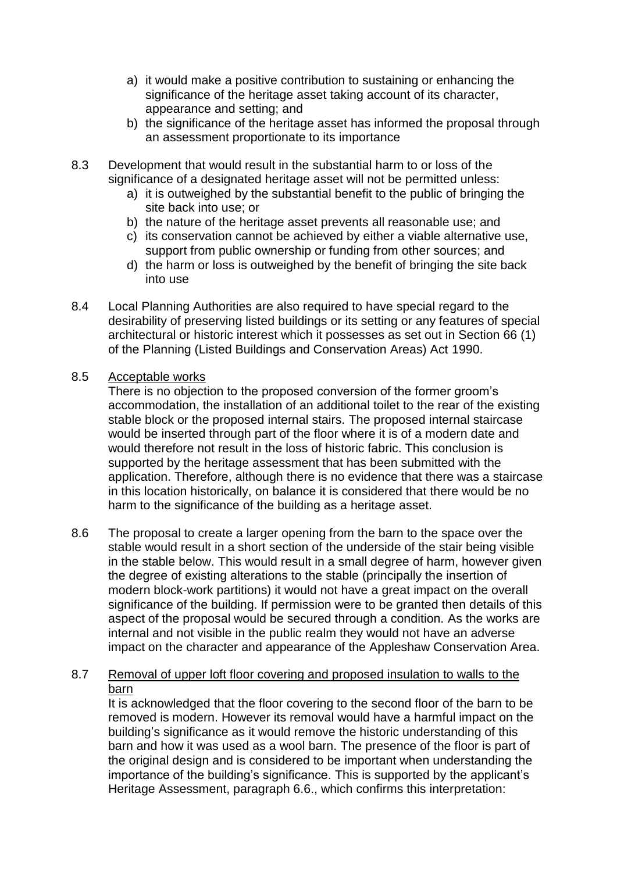- a) it would make a positive contribution to sustaining or enhancing the significance of the heritage asset taking account of its character, appearance and setting; and
- b) the significance of the heritage asset has informed the proposal through an assessment proportionate to its importance
- 8.3 Development that would result in the substantial harm to or loss of the significance of a designated heritage asset will not be permitted unless:
	- a) it is outweighed by the substantial benefit to the public of bringing the site back into use; or
	- b) the nature of the heritage asset prevents all reasonable use; and
	- c) its conservation cannot be achieved by either a viable alternative use, support from public ownership or funding from other sources; and
	- d) the harm or loss is outweighed by the benefit of bringing the site back into use
- 8.4 Local Planning Authorities are also required to have special regard to the desirability of preserving listed buildings or its setting or any features of special architectural or historic interest which it possesses as set out in Section 66 (1) of the Planning (Listed Buildings and Conservation Areas) Act 1990.

### 8.5 Acceptable works

There is no objection to the proposed conversion of the former groom's accommodation, the installation of an additional toilet to the rear of the existing stable block or the proposed internal stairs. The proposed internal staircase would be inserted through part of the floor where it is of a modern date and would therefore not result in the loss of historic fabric. This conclusion is supported by the heritage assessment that has been submitted with the application. Therefore, although there is no evidence that there was a staircase in this location historically, on balance it is considered that there would be no harm to the significance of the building as a heritage asset.

8.6 The proposal to create a larger opening from the barn to the space over the stable would result in a short section of the underside of the stair being visible in the stable below. This would result in a small degree of harm, however given the degree of existing alterations to the stable (principally the insertion of modern block-work partitions) it would not have a great impact on the overall significance of the building. If permission were to be granted then details of this aspect of the proposal would be secured through a condition. As the works are internal and not visible in the public realm they would not have an adverse impact on the character and appearance of the Appleshaw Conservation Area.

# 8.7 Removal of upper loft floor covering and proposed insulation to walls to the barn

It is acknowledged that the floor covering to the second floor of the barn to be removed is modern. However its removal would have a harmful impact on the building's significance as it would remove the historic understanding of this barn and how it was used as a wool barn. The presence of the floor is part of the original design and is considered to be important when understanding the importance of the building's significance. This is supported by the applicant's Heritage Assessment, paragraph 6.6., which confirms this interpretation: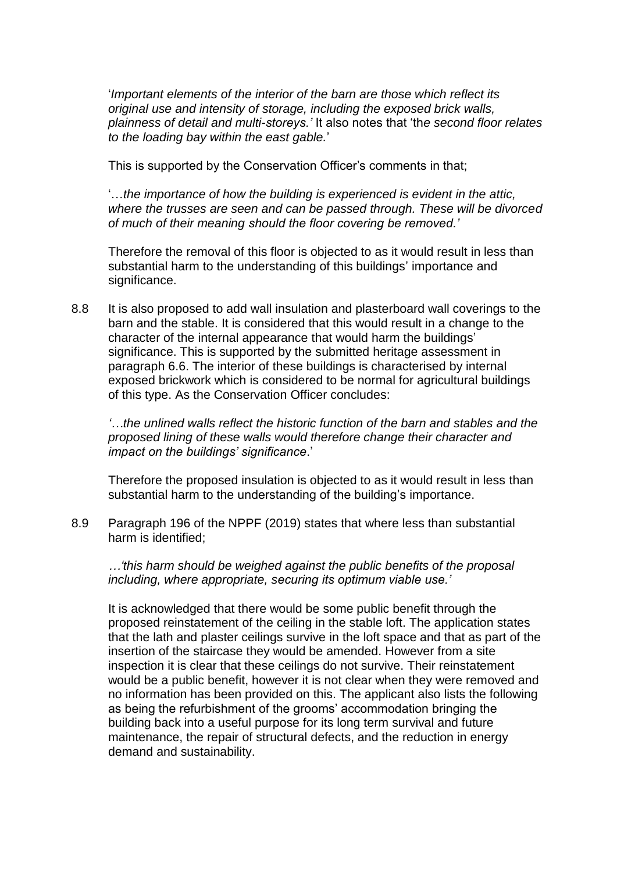'*Important elements of the interior of the barn are those which reflect its original use and intensity of storage, including the exposed brick walls, plainness of detail and multi-storeys.'* It also notes that 'th*e second floor relates to the loading bay within the east gable.*'

This is supported by the Conservation Officer's comments in that;

'…*the importance of how the building is experienced is evident in the attic, where the trusses are seen and can be passed through. These will be divorced of much of their meaning should the floor covering be removed.'*

Therefore the removal of this floor is objected to as it would result in less than substantial harm to the understanding of this buildings' importance and significance.

8.8 It is also proposed to add wall insulation and plasterboard wall coverings to the barn and the stable. It is considered that this would result in a change to the character of the internal appearance that would harm the buildings' significance. This is supported by the submitted heritage assessment in paragraph 6.6. The interior of these buildings is characterised by internal exposed brickwork which is considered to be normal for agricultural buildings of this type. As the Conservation Officer concludes:

*'…the unlined walls reflect the historic function of the barn and stables and the proposed lining of these walls would therefore change their character and impact on the buildings' significance*.'

Therefore the proposed insulation is objected to as it would result in less than substantial harm to the understanding of the building's importance.

8.9 Paragraph 196 of the NPPF (2019) states that where less than substantial harm is identified;

*…'this harm should be weighed against the public benefits of the proposal including, where appropriate, securing its optimum viable use.'*

It is acknowledged that there would be some public benefit through the proposed reinstatement of the ceiling in the stable loft. The application states that the lath and plaster ceilings survive in the loft space and that as part of the insertion of the staircase they would be amended. However from a site inspection it is clear that these ceilings do not survive. Their reinstatement would be a public benefit, however it is not clear when they were removed and no information has been provided on this. The applicant also lists the following as being the refurbishment of the grooms' accommodation bringing the building back into a useful purpose for its long term survival and future maintenance, the repair of structural defects, and the reduction in energy demand and sustainability.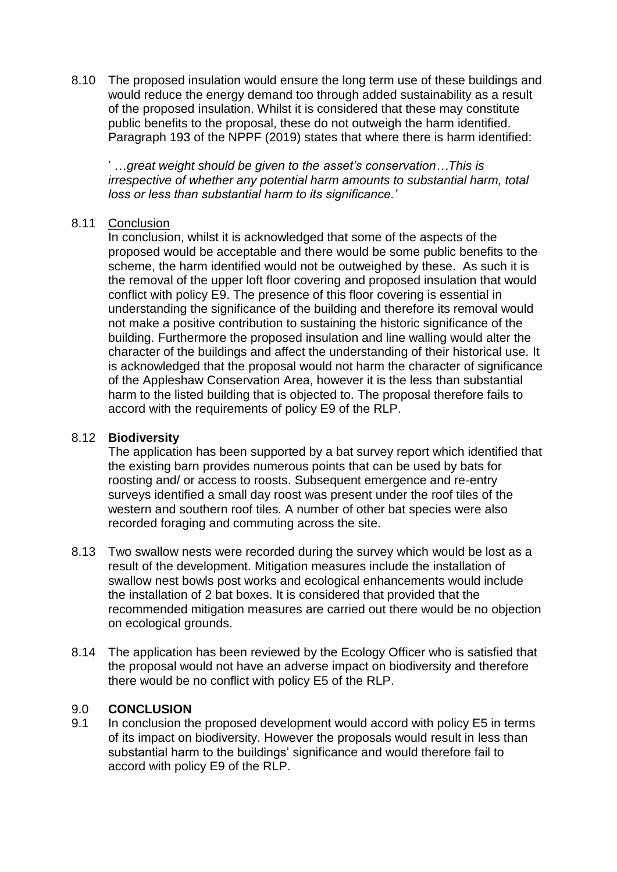8.10 The proposed insulation would ensure the long term use of these buildings and would reduce the energy demand too through added sustainability as a result of the proposed insulation. Whilst it is considered that these may constitute public benefits to the proposal, these do not outweigh the harm identified. Paragraph 193 of the NPPF (2019) states that where there is harm identified:

' …*great weight should be given to the asset's conservation…This is irrespective of whether any potential harm amounts to substantial harm, total loss or less than substantial harm to its significance.'*

### 8.11 Conclusion

In conclusion, whilst it is acknowledged that some of the aspects of the proposed would be acceptable and there would be some public benefits to the scheme, the harm identified would not be outweighed by these. As such it is the removal of the upper loft floor covering and proposed insulation that would conflict with policy E9. The presence of this floor covering is essential in understanding the significance of the building and therefore its removal would not make a positive contribution to sustaining the historic significance of the building. Furthermore the proposed insulation and line walling would alter the character of the buildings and affect the understanding of their historical use. It is acknowledged that the proposal would not harm the character of significance of the Appleshaw Conservation Area, however it is the less than substantial harm to the listed building that is objected to. The proposal therefore fails to accord with the requirements of policy E9 of the RLP.

### 8.12 **Biodiversity**

The application has been supported by a bat survey report which identified that the existing barn provides numerous points that can be used by bats for roosting and/ or access to roosts. Subsequent emergence and re-entry surveys identified a small day roost was present under the roof tiles of the western and southern roof tiles. A number of other bat species were also recorded foraging and commuting across the site.

- 8.13 Two swallow nests were recorded during the survey which would be lost as a result of the development. Mitigation measures include the installation of swallow nest bowls post works and ecological enhancements would include the installation of 2 bat boxes. It is considered that provided that the recommended mitigation measures are carried out there would be no objection on ecological grounds.
- 8.14 The application has been reviewed by the Ecology Officer who is satisfied that the proposal would not have an adverse impact on biodiversity and therefore there would be no conflict with policy E5 of the RLP.

### 9.0 **CONCLUSION**

9.1 In conclusion the proposed development would accord with policy E5 in terms of its impact on biodiversity. However the proposals would result in less than substantial harm to the buildings' significance and would therefore fail to accord with policy E9 of the RLP.